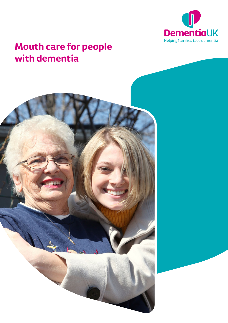

# **Mouth care for people with dementia**

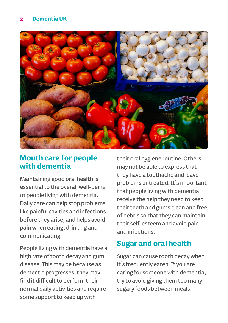

### **Mouth care for people with dementia**

Maintaining good oral health is essential to the overall well-being of people living with dementia. Daily care can help stop problems like painful cavities and infections before they arise, and helps avoid pain when eating, drinking and communicating.

People living with dementia have a high rate of tooth decay and gum disease. This may be because as dementia progresses, they may find it difficult to perform their normal daily activities and require some support to keep up with

their oral hygiene routine. Others may not be able to express that they have a toothache and leave problems untreated. It's important that people living with dementia receive the help they need to keep their teeth and gums clean and free of debris so that they can maintain their self-esteem and avoid pain and infections.

# **Sugar and oral health**

Sugar can cause tooth decay when it's frequently eaten. If you are caring for someone with dementia, try to avoid giving them too many sugary foods between meals.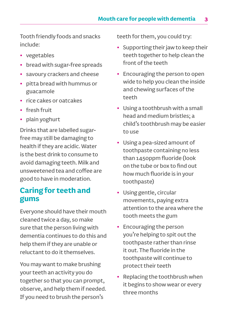Tooth friendly foods and snacks include:

- **•** vegetables
- **•** bread with sugar-free spreads
- **•** savoury crackers and cheese
- **•** pitta bread with hummus or guacamole
- **•** rice cakes or oatcakes
- **•** fresh fruit
- **•** plain yoghurt

Drinks that are labelled sugarfree may still be damaging to health if they are acidic. Water is the best drink to consume to avoid damaging teeth. Milk and unsweetened tea and coffee are good to have in moderation.

# **Caring for teeth and gums**

Everyone should have their mouth cleaned twice a day, so make sure that the person living with dementia continues to do this and help them if they are unable or reluctant to do it themselves.

You may want to make brushing your teeth an activity you do together so that you can prompt, observe, and help them if needed. If you need to brush the person's

teeth for them, you could try:

- **•** Supporting their jaw to keep their teeth together to help clean the front of the teeth
- **•** Encouraging the person to open wide to help you clean the inside and chewing surfaces of the teeth
- **•** Using a toothbrush with a small head and medium bristles; a child's toothbrush may be easier to use
- **•** Using a pea-sized amount of toothpaste containing no less than 1450ppm fluoride (look on the tube or box to find out how much fluoride is in your toothpaste)
- **•** Using gentle, circular movements, paying extra attention to the area where the tooth meets the gum
- **•** Encouraging the person you're helping to spit out the toothpaste rather than rinse it out. The fluoride in the toothpaste will continue to protect their teeth
- **•** Replacing the toothbrush when it begins to show wear or every three months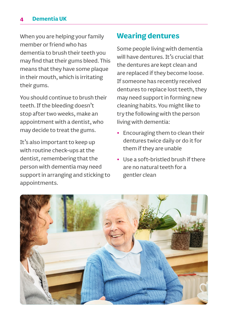#### **4 Dementia UK**

When you are helping your family member or friend who has dementia to brush their teeth you may find that their gums bleed. This means that they have some plaque in their mouth, which is irritating their gums.

You should continue to brush their teeth. If the bleeding doesn't stop after two weeks, make an appointment with a dentist, who may decide to treat the gums.

It's also important to keep up with routine check-ups at the dentist, remembering that the person with dementia may need support in arranging and sticking to appointments.

### **Wearing dentures**

Some people living with dementia will have dentures. It's crucial that the dentures are kept clean and are replaced if they become loose. If someone has recently received dentures to replace lost teeth, they may need support in forming new cleaning habits. You might like to try the following with the person living with dementia:

- **•** Encouraging them to clean their dentures twice daily or do it for them if they are unable
- **•** Use a soft-bristled brush if there are no natural teeth for a gentler clean

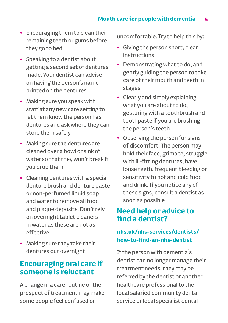- **•** Encouraging them to clean their remaining teeth or gums before they go to bed
- **•** Speaking to a dentist about getting a second set of dentures made. Your dentist can advise on having the person's name printed on the dentures
- **•** Making sure you speak with staff at any new care setting to let them know the person has dentures and ask where they can store them safely
- **•** Making sure the dentures are cleaned over a bowl or sink of water so that they won't break if you drop them
- **•** Cleaning dentures with a special denture brush and denture paste or non-perfumed liquid soap and water to remove all food and plaque deposits. Don't rely on overnight tablet cleaners in water as these are not as effective
- **•** Making sure they take their dentures out overnight

# **Encouraging oral care if someone is reluctant**

A change in a care routine or the prospect of treatment may make some people feel confused or

uncomfortable. Try to help this by:

- **•** Giving the person short, clear instructions
- **•** Demonstrating what to do, and gently guiding the person to take care of their mouth and teeth in stages
- **•** Clearly and simply explaining what you are about to do, gesturing with a toothbrush and toothpaste if you are brushing the person's teeth
- **•** Observing the person for signs of discomfort. The person may hold their face, grimace, struggle with ill-fitting dentures, have loose teeth, frequent bleeding or sensitivity to hot and cold food and drink. If you notice any of these signs, consult a dentist as soon as possible

# **Need help or advice to find a dentist?**

#### **[nhs.uk/nhs-services/dentists/](http://nhs.uk/nhs-services/dentists/how-to-find-an-nhs-dentist) [how-to-find-an-nhs-dentist](http://nhs.uk/nhs-services/dentists/how-to-find-an-nhs-dentist)**

If the person with dementia's dentist can no longer manage their treatment needs, they may be referred by the dentist or another healthcare professional to the local salaried community dental service or local specialist dental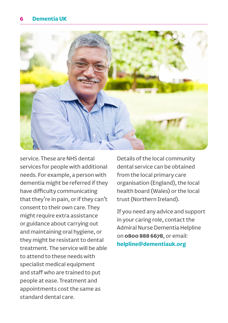

service. These are NHS dental services for people with additional needs. For example, a person with dementia might be referred if they have difficulty communicating that they're in pain, or if they can't consent to their own care. They might require extra assistance or guidance about carrying out and maintaining oral hygiene, or they might be resistant to dental treatment. The service will be able to attend to these needs with specialist medical equipment and staff who are trained to put people at ease. Treatment and appointments cost the same as standard dental care.

Details of the local community dental service can be obtained from the local primary care organisation (England), the local health board (Wales) or the local trust (Northern Ireland).

If you need any advice and support in your caring role, contact the Admiral Nurse Dementia Helpline on **0800 888 6678**, or email: **[helpline@dementiauk.org](mailto:helpline%40dementiauk.org?subject=)**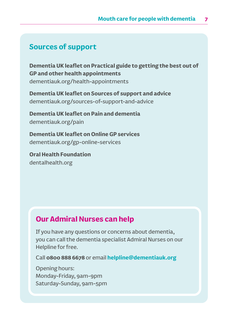#### **Sources of support**

**Dementia UK leaflet on Practical guide to getting the best out of GP and other health appointments** [dementiauk.org/health-appointments](http://dementiauk.org/health-appointments)

**Dementia UK leaflet on Sources of support and advice**  [dementiauk.org/sources-of-support-and-advice](http://dementiauk.org/sources-of-support-and-advice)

**Dementia UK leaflet on Pain and dementia**  [dementiauk.org/pain](http://www.dementiauk.org/pain)

**Dementia UK leaflet on Online GP services**  [dementiauk.org/gp-online-services](http://www.dementiauk.org/gp-online-services)

**Oral Health Foundation** [dentalhealth.org](http://dentalhealth.org)

#### **Our Admiral Nurses can help**

If you have any questions or concerns about dementia, you can call the dementia specialist Admiral Nurses on our Helpline for free.

Call **0800 888 6678** or email **helpline@dementiauk.org**

Opening hours: Monday-Friday, 9am-9pm Saturday-Sunday, 9am-5pm